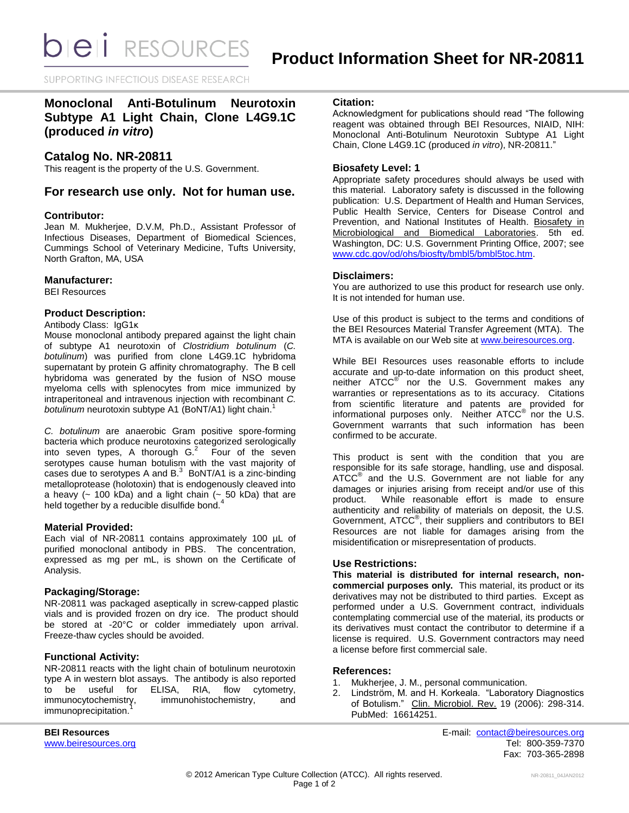**bieli** RESOURCES

SUPPORTING INFECTIOUS DISEASE RESEARCH

# **Monoclonal Anti-Botulinum Neurotoxin Subtype A1 Light Chain, Clone L4G9.1C (produced** *in vitro***)**

# **Catalog No. NR-20811**

This reagent is the property of the U.S. Government.

# **For research use only. Not for human use.**

### **Contributor:**

Jean M. Mukherjee, D.V.M, Ph.D., Assistant Professor of Infectious Diseases, Department of Biomedical Sciences, Cummings School of Veterinary Medicine, Tufts University, North Grafton, MA, USA

## **Manufacturer:**

BEI Resources

## **Product Description:**

Antibody Class: IgG1κ

Mouse monoclonal antibody prepared against the light chain of subtype A1 neurotoxin of *Clostridium botulinum* (*C. botulinum*) was purified from clone L4G9.1C hybridoma supernatant by protein G affinity chromatography. The B cell hybridoma was generated by the fusion of NSO mouse myeloma cells with splenocytes from mice immunized by intraperitoneal and intravenous injection with recombinant *C. botulinum* neurotoxin subtype A1 (BoNT/A1) light chain. 1

*C. botulinum* are anaerobic Gram positive spore-forming bacteria which produce neurotoxins categorized serologically into seven types, A thorough  $G<sup>2</sup>$  Four of the seven serotypes cause human botulism with the vast majority of cases due to serotypes A and  $B<sup>3</sup>$  BoNT/A1 is a zinc-binding metalloprotease (holotoxin) that is endogenously cleaved into a heavy ( $\sim$  100 kDa) and a light chain ( $\sim$  50 kDa) that are held together by a reducible disulfide bond.<sup>4</sup>

### **Material Provided:**

Each vial of NR-20811 contains approximately 100 µL of purified monoclonal antibody in PBS. The concentration, expressed as mg per mL, is shown on the Certificate of Analysis.

# **Packaging/Storage:**

NR-20811 was packaged aseptically in screw-capped plastic vials and is provided frozen on dry ice. The product should be stored at -20°C or colder immediately upon arrival. Freeze-thaw cycles should be avoided.

# **Functional Activity:**

NR-20811 reacts with the light chain of botulinum neurotoxin type A in western blot assays. The antibody is also reported<br>to be useful for ELISA, RIA, flow cytometry, to be useful for ELISA, RIA, flow cytometry,<br>immunocytochemistry, immunohistochemistry, and immunohistochemistry, and immunoprecipitation.

### **Citation:**

Acknowledgment for publications should read "The following reagent was obtained through BEI Resources, NIAID, NIH: Monoclonal Anti-Botulinum Neurotoxin Subtype A1 Light Chain, Clone L4G9.1C (produced *in vitro*), NR-20811."

### **Biosafety Level: 1**

Appropriate safety procedures should always be used with this material. Laboratory safety is discussed in the following publication: U.S. Department of Health and Human Services, Public Health Service, Centers for Disease Control and Prevention, and National Institutes of Health. Biosafety in Microbiological and Biomedical Laboratories. 5th ed. Washington, DC: U.S. Government Printing Office, 2007; see [www.cdc.gov/od/ohs/biosfty/bmbl5/bmbl5toc.htm.](http://www.cdc.gov/od/ohs/biosfty/bmbl5/bmbl5toc.htm)

### **Disclaimers:**

You are authorized to use this product for research use only. It is not intended for human use.

Use of this product is subject to the terms and conditions of the BEI Resources Material Transfer Agreement (MTA). The MTA is available on our Web site at [www.beiresources.org.](http://www.beiresources.org/)

While BEI Resources uses reasonable efforts to include accurate and up-to-date information on this product sheet, neither ATCC<sup>®</sup> nor the U.S. Government makes any warranties or representations as to its accuracy. Citations from scientific literature and patents are provided for informational purposes only. Neither  $ATCC^{\circledast}$  nor the U.S. Government warrants that such information has been confirmed to be accurate.

This product is sent with the condition that you are responsible for its safe storage, handling, use and disposal. ATCC<sup>®</sup> and the U.S. Government are not liable for any damages or injuries arising from receipt and/or use of this product. While reasonable effort is made to ensure authenticity and reliability of materials on deposit, the U.S. Government, ATCC® , their suppliers and contributors to BEI Resources are not liable for damages arising from the misidentification or misrepresentation of products.

### **Use Restrictions:**

**This material is distributed for internal research, noncommercial purposes only.** This material, its product or its derivatives may not be distributed to third parties. Except as performed under a U.S. Government contract, individuals contemplating commercial use of the material, its products or its derivatives must contact the contributor to determine if a license is required. U.S. Government contractors may need a license before first commercial sale.

### **References:**

- 1. Mukherjee, J. M., personal communication.
- 2. Lindström, M. and H. Korkeala. "Laboratory Diagnostics of Botulism." Clin. Microbiol. Rev. 19 (2006): 298-314. PubMed: 16614251.